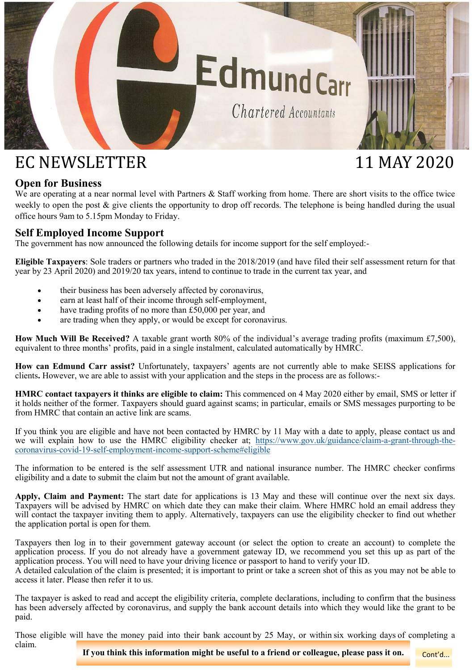

# EC NEWSLETTER 11 MAY 2020

# **Open for Business**

We are operating at a near normal level with Partners & Staff working from home. There are short visits to the office twice weekly to open the post & give clients the opportunity to drop off records. The telephone is being handled during the usual office hours 9am to 5.15pm Monday to Friday.

# **Self Employed Income Support**

The government has now announced the following details for income support for the self employed:-

**Eligible Taxpayers**: Sole traders or partners who traded in the 2018/2019 (and have filed their self assessment return for that year by 23 April 2020) and 2019/20 tax years, intend to continue to trade in the current tax year, and

- their business has been adversely affected by coronavirus,
- earn at least half of their income through self-employment,
- have trading profits of no more than £50,000 per year, and
- are trading when they apply, or would be except for coronavirus.

**How Much Will Be Received?** A taxable grant worth 80% of the individual's average trading profits (maximum £7,500), equivalent to three months' profits, paid in a single instalment, calculated automatically by HMRC.

**How can Edmund Carr assist?** Unfortunately, taxpayers' agents are not currently able to make SEISS applications for clients**.** However, we are able to assist with your application and the steps in the process are as follows:-

**HMRC contact taxpayers it thinks are eligible to claim:** This commenced on 4 May 2020 either by email, SMS or letter if it holds neither of the former. Taxpayers should guard against scams; in particular, emails or SMS messages purporting to be from HMRC that contain an active link are scams.

If you think you are eligible and have not been contacted by HMRC by 11 May with a date to apply, please contact us and we will explain how to use the HMRC eligibility checker at; [https://www.gov.uk/guidance/claim](https://www.gov.uk/guidance/claim-a-grant-through-the-coronavirus-covid-19-self-employment-income-support-scheme#eligible)-a-grant-through-thecoronavirus-covid-19-self-employment-income-support-[scheme#eligible](https://www.gov.uk/guidance/claim-a-grant-through-the-coronavirus-covid-19-self-employment-income-support-scheme#eligible)

The information to be entered is the self assessment UTR and national insurance number. The HMRC checker confirms eligibility and a date to submit the claim but not the amount of grant available.

**Apply, Claim and Payment:** The start date for applications is 13 May and these will continue over the next six days. Taxpayers will be advised by HMRC on which date they can make their claim. Where HMRC hold an email address they will contact the taxpayer inviting them to apply. Alternatively, taxpayers can use the eligibility checker to find out whether the application portal is open for them.

Taxpayers then log in to their government gateway account (or select the option to create an account) to complete the application process. If you do not already have a government gateway ID, we recommend you set this up as part of the application process. You will need to have your driving licence or passport to hand to verify your ID.

A detailed calculation of the claim is presented; it is important to print or take a screen shot of this as you may not be able to access it later. Please then refer it to us.

The taxpayer is asked to read and accept the eligibility criteria, complete declarations, including to confirm that the business has been adversely affected by coronavirus, and supply the bank account details into which they would like the grant to be paid.

Those eligible will have the money paid into their bank account by 25 May, or within six working days of completing a claim.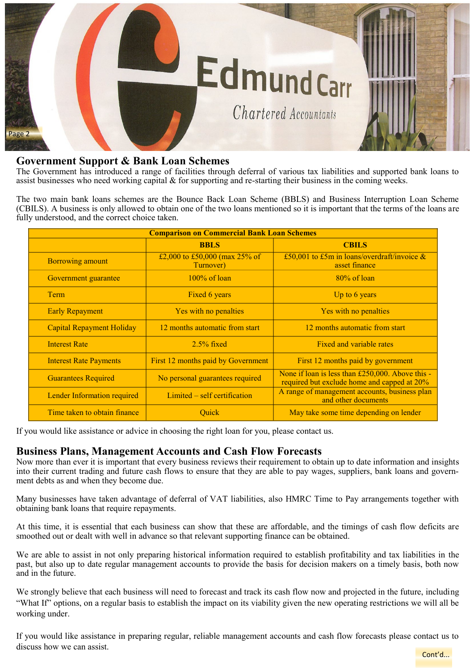

# **Government Support & Bank Loan Schemes**

The Government has introduced a range of facilities through deferral of various tax liabilities and supported bank loans to assist businesses who need working capital & for supporting and re-starting their business in the coming weeks.

The two main bank loans schemes are the Bounce Back Loan Scheme (BBLS) and Business Interruption Loan Scheme (CBILS). A business is only allowed to obtain one of the two loans mentioned so it is important that the terms of the loans are fully understood, and the correct choice taken.

| <b>Comparison on Commercial Bank Loan Schemes</b> |                                            |                                                                                                 |
|---------------------------------------------------|--------------------------------------------|-------------------------------------------------------------------------------------------------|
|                                                   | <b>BBLS</b>                                | <b>CBILS</b>                                                                                    |
| <b>Borrowing amount</b>                           | £2,000 to £50,000 (max 25% of<br>Turnover) | £50,001 to £5m in loans/overdraft/invoice $\&$<br>asset finance                                 |
| Government guarantee                              | $100\%$ of loan                            | $80\%$ of loan                                                                                  |
| Term                                              | Fixed 6 years                              | Up to $6$ years                                                                                 |
| <b>Early Repayment</b>                            | Yes with no penalties                      | Yes with no penalties                                                                           |
| <b>Capital Repayment Holiday</b>                  | 12 months automatic from start             | 12 months automatic from start                                                                  |
| <b>Interest Rate</b>                              | $2.5\%$ fixed                              | Fixed and variable rates                                                                        |
| <b>Interest Rate Payments</b>                     | First 12 months paid by Government         | First 12 months paid by government                                                              |
| <b>Guarantees Required</b>                        | No personal guarantees required            | None if loan is less than £250,000. Above this -<br>required but exclude home and capped at 20% |
| Lender Information required                       | Limited – self certification               | A range of management accounts, business plan<br>and other documents                            |
| Time taken to obtain finance                      | <b>Ouick</b>                               | May take some time depending on lender                                                          |

If you would like assistance or advice in choosing the right loan for you, please contact us.

### **Business Plans, Management Accounts and Cash Flow Forecasts**

Now more than ever it is important that every business reviews their requirement to obtain up to date information and insights into their current trading and future cash flows to ensure that they are able to pay wages, suppliers, bank loans and government debts as and when they become due.

Many businesses have taken advantage of deferral of VAT liabilities, also HMRC Time to Pay arrangements together with obtaining bank loans that require repayments.

At this time, it is essential that each business can show that these are affordable, and the timings of cash flow deficits are smoothed out or dealt with well in advance so that relevant supporting finance can be obtained.

We are able to assist in not only preparing historical information required to establish profitability and tax liabilities in the past, but also up to date regular management accounts to provide the basis for decision makers on a timely basis, both now and in the future.

We strongly believe that each business will need to forecast and track its cash flow now and projected in the future, including "What If" options, on a regular basis to establish the impact on its viability given the new operating restrictions we will all be working under.

If you would like assistance in preparing regular, reliable management accounts and cash flow forecasts please contact us to discuss how we can assist.

Cont'd...